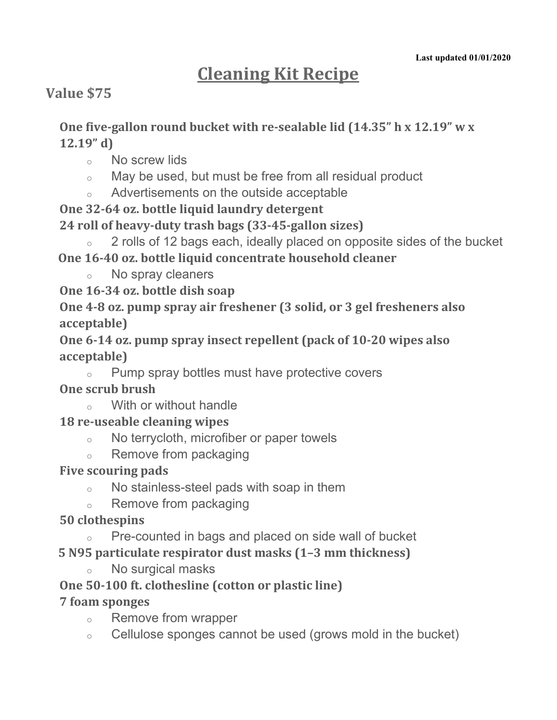# **Cleaning Kit Recipe**

## **Value \$75**

**One five-gallon round bucket with re-sealable lid (14.35" h x 12.19" w x 12.19" d)**

- o No screw lids
- o May be used, but must be free from all residual product
- o Advertisements on the outside acceptable
- **One 32-64 oz. bottle liquid laundry detergent**

**24 roll of heavy-duty trash bags (33-45-gallon sizes)** 

2 rolls of 12 bags each, ideally placed on opposite sides of the bucket **One 16-40 oz. bottle liquid concentrate household cleaner**

o No spray cleaners

**One 16-34 oz. bottle dish soap**

**One 4-8 oz. pump spray air freshener (3 solid, or 3 gel fresheners also acceptable)**

**One 6-14 oz. pump spray insect repellent (pack of 10-20 wipes also acceptable)**

o Pump spray bottles must have protective covers

#### **One scrub brush**

o With or without handle

#### **18 re-useable cleaning wipes**

- o No terrycloth, microfiber or paper towels
- o Remove from packaging

## **Five scouring pads**

- o No stainless-steel pads with soap in them
- o Remove from packaging

## **50 clothespins**

o Pre-counted in bags and placed on side wall of bucket

**5 N95 particulate respirator dust masks (1–3 mm thickness)** 

o No surgical masks

## **One 50-100 ft. clothesline (cotton or plastic line)**

## **7 foam sponges**

- o Remove from wrapper
- o Cellulose sponges cannot be used (grows mold in the bucket)